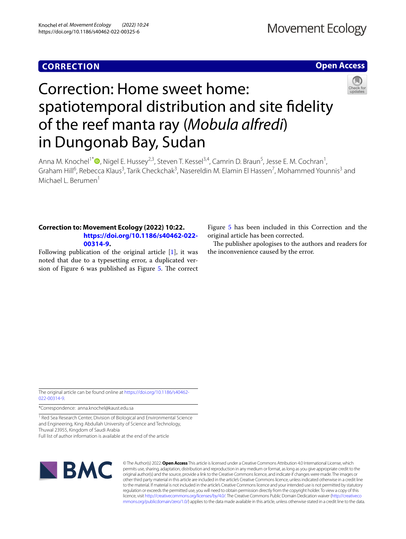## **CORRECTION**

## **Open Access**



# Correction: Home sweet home: spatiotemporal distribution and site fdelity of the reef manta ray (*Mobula alfredi*) in Dungonab Bay, Sudan

Anna M. Knochel<sup>1[\\*](http://orcid.org/0000-0002-7396-4586)</sup> (D, Nigel E. Hussey<sup>2,3</sup>, Steven T. Kessel<sup>3,4</sup>, Camrin D. Braun<sup>5</sup>, Jesse E. M. Cochran<sup>1</sup>, Graham Hill<sup>6</sup>, Rebecca Klaus<sup>3</sup>, Tarik Checkchak<sup>3</sup>, Nasereldin M. Elamin El Hassen<sup>7</sup>, Mohammed Younnis<sup>3</sup> and Michael L. Berumen<sup>1</sup>

### **Correction to: Movement Ecology (2022) 10:22. [https://doi.org/10.1186/s40462-022-](https://doi.org/10.1186/s40462-022-00314-9) [00314-9](https://doi.org/10.1186/s40462-022-00314-9).**

Following publication of the original article [\[1](#page-1-0)], it was noted that due to a typesetting error, a duplicated ver-sion of Figure 6 was published as Figure [5](#page-1-1). The correct Figure [5](#page-1-1) has been included in this Correction and the original article has been corrected.

The publisher apologises to the authors and readers for the inconvenience caused by the error.

The original article can be found online at [https://doi.org/10.1186/s40462-](https://doi.org/10.1186/s40462-022-00314-9) [022-00314-9](https://doi.org/10.1186/s40462-022-00314-9).

\*Correspondence: anna.knochel@kaust.edu.sa

<sup>1</sup> Red Sea Research Center, Division of Biological and Environmental Science and Engineering, King Abdullah University of Science and Technology, Thuwal 23955, Kingdom of Saudi Arabia Full list of author information is available at the end of the article



© The Author(s) 2022. **Open Access** This article is licensed under a Creative Commons Attribution 4.0 International License, which permits use, sharing, adaptation, distribution and reproduction in any medium or format, as long as you give appropriate credit to the original author(s) and the source, provide a link to the Creative Commons licence, and indicate if changes were made. The images or other third party material in this article are included in the article's Creative Commons licence, unless indicated otherwise in a credit line to the material. If material is not included in the article's Creative Commons licence and your intended use is not permitted by statutory regulation or exceeds the permitted use, you will need to obtain permission directly from the copyright holder. To view a copy of this licence, visit [http://creativecommons.org/licenses/by/4.0/.](http://creativecommons.org/licenses/by/4.0/) The Creative Commons Public Domain Dedication waiver ([http://creativeco](http://creativecommons.org/publicdomain/zero/1.0/) [mmons.org/publicdomain/zero/1.0/](http://creativecommons.org/publicdomain/zero/1.0/)) applies to the data made available in this article, unless otherwise stated in a credit line to the data.